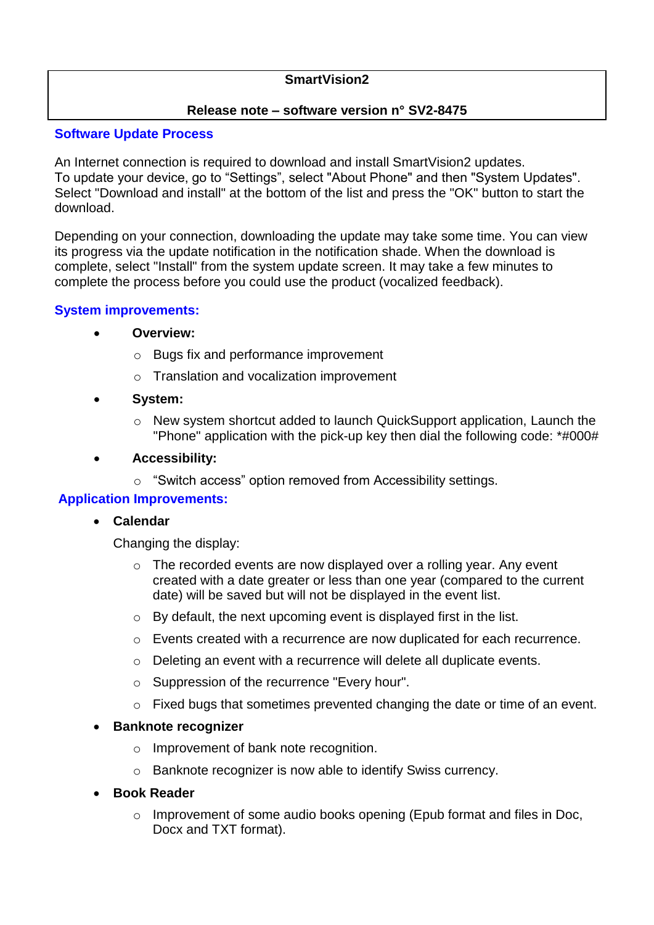# **SmartVision2**

# **Release note – software version n° SV2-8475**

## **Software Update Process**

An Internet connection is required to download and install SmartVision2 updates. To update your device, go to "Settings", select "About Phone" and then "System Updates". Select "Download and install" at the bottom of the list and press the "OK" button to start the download.

Depending on your connection, downloading the update may take some time. You can view its progress via the update notification in the notification shade. When the download is complete, select "Install" from the system update screen. It may take a few minutes to complete the process before you could use the product (vocalized feedback).

# **System improvements:**

## **Overview:**

- o Bugs fix and performance improvement
- o Translation and vocalization improvement
- **System:**
	- o New system shortcut added to launch QuickSupport application, Launch the "Phone" application with the pick-up key then dial the following code: \*#000#
- **Accessibility:**
	- o "Switch access" option removed from Accessibility settings.

## **Application Improvements:**

## **Calendar**

Changing the display:

- $\circ$  The recorded events are now displayed over a rolling year. Any event created with a date greater or less than one year (compared to the current date) will be saved but will not be displayed in the event list.
- o By default, the next upcoming event is displayed first in the list.
- o Events created with a recurrence are now duplicated for each recurrence.
- o Deleting an event with a recurrence will delete all duplicate events.
- o Suppression of the recurrence "Every hour".
- o Fixed bugs that sometimes prevented changing the date or time of an event.

## **Banknote recognizer**

- o Improvement of bank note recognition.
- o Banknote recognizer is now able to identify Swiss currency.
- **Book Reader**
	- $\circ$  Improvement of some audio books opening (Epub format and files in Doc, Docx and TXT format).